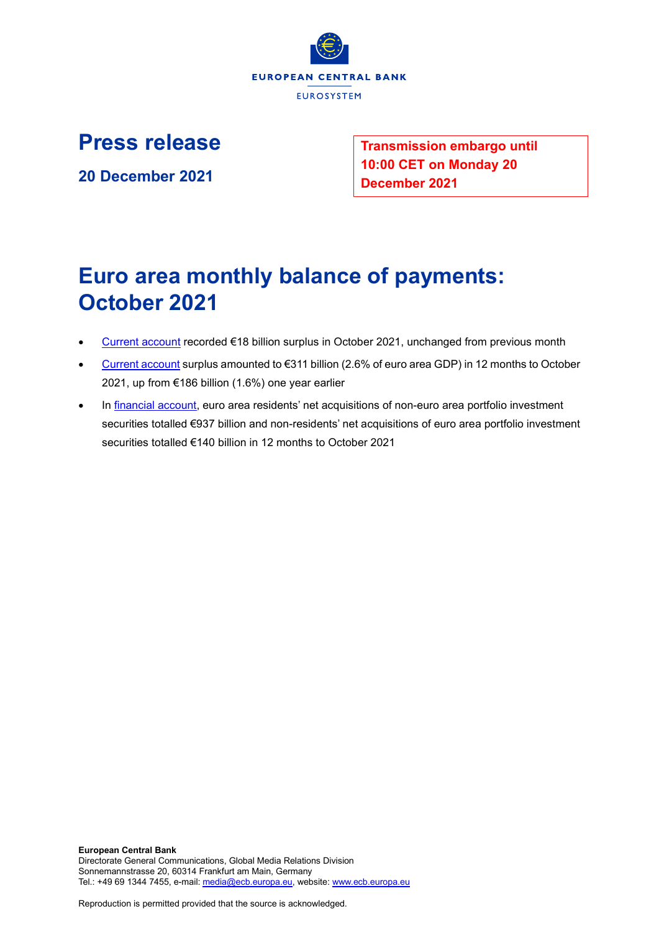

**Press release**

**20 December 2021**

**Transmission embargo until 10:00 CET on Monday 20 December 2021**

# **Euro area monthly balance of payments: October 2021**

- [Current account](http://sdw.ecb.europa.eu/browseSelection.do?df=true&ec=&dc=&oc=&pb=&rc=&dataSET=0&removeItem=D&removedItemList=&mergeFilter=&activeTab=BP6&showHide=&FREQ.243=M&ADJUSTMENT.243=Y&REF_AREA.243=I8&ACCOUNTING_ENTRY.243=B&INT_ACC_ITEM.243=CA&node=9688874&legendRef=reference) recorded €18 billion surplus in October 2021, unchanged from previous month
- [Current account](http://sdw.ecb.europa.eu/browseSelection.do?df=true&ec=&dc=&oc=&pb=&rc=&dataSET=0&removeItem=D&removedItemList=&mergeFilter=&activeTab=BP6&showHide=&FREQ.243=M&ADJUSTMENT.243=Y&REF_AREA.243=I8&ACCOUNTING_ENTRY.243=B&INT_ACC_ITEM.243=CA&node=9688874&legendRef=reference) surplus amounted to €311 billion (2.6% of euro area GDP) in 12 months to October 2021, up from €186 billion (1.6%) one year earlier
- In [financial account,](http://sdw.ecb.europa.eu/browseSelection.do?type=series&q=BP6.M.N.I8.W1.S1.S1.T.N.FA._T.F._Z.EUR._T._X.N+BP6.M.N.I8.W1.S1.S1.T.A.FA.P.F._Z.EUR._T.M.N+BP6.M.N.I8.W1.S1.S1.T.L.FA.P.F._Z.EUR._T.M.N&node=SEARCHRESULTS&ec=&oc=&rc=&cv=&pb=&dc=&df=) euro area residents' net acquisitions of non-euro area portfolio investment securities totalled €937 billion and non-residents' net acquisitions of euro area portfolio investment securities totalled €140 billion in 12 months to October 2021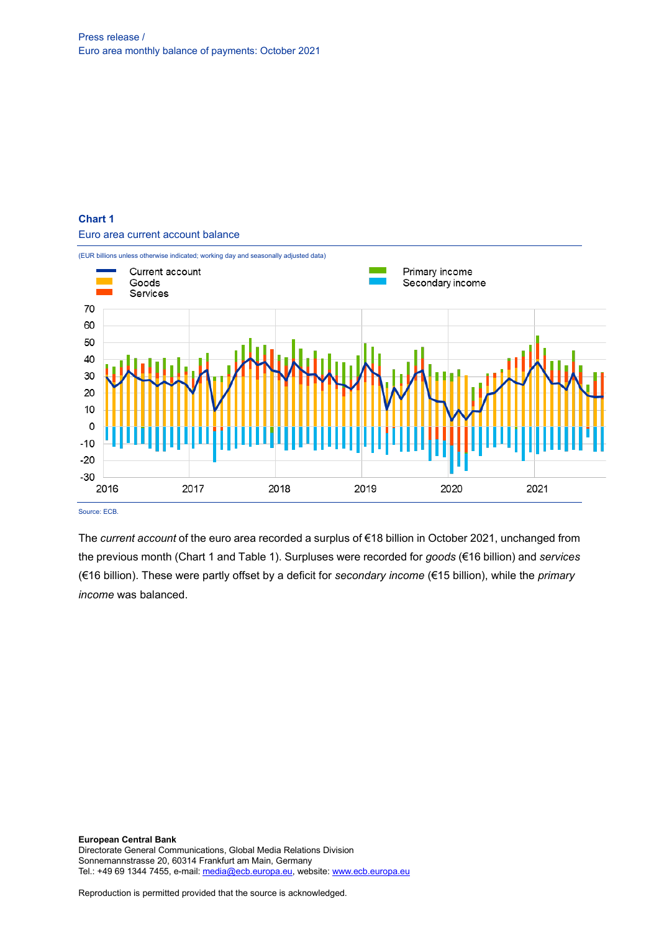## **Chart 1**

Euro area current account balance



Source: ECB.

The *current account* of the euro area recorded a surplus of €18 billion in October 2021, unchanged from the previous month (Chart 1 and Table 1). Surpluses were recorded for *goods* (€16 billion) and *services* (€16 billion). These were partly offset by a deficit for *secondary income* (€15 billion), while the *primary income* was balanced.

**European Central Bank** Directorate General Communications, Global Media Relations Division Sonnemannstrasse 20, 60314 Frankfurt am Main, Germany Tel.: +49 69 1344 7455, e-mail[: media@ecb.europa.eu,](mailto:media@ecb.europa.eu) website[: www.ecb.europa.eu](http://www.ecb.europa.eu/)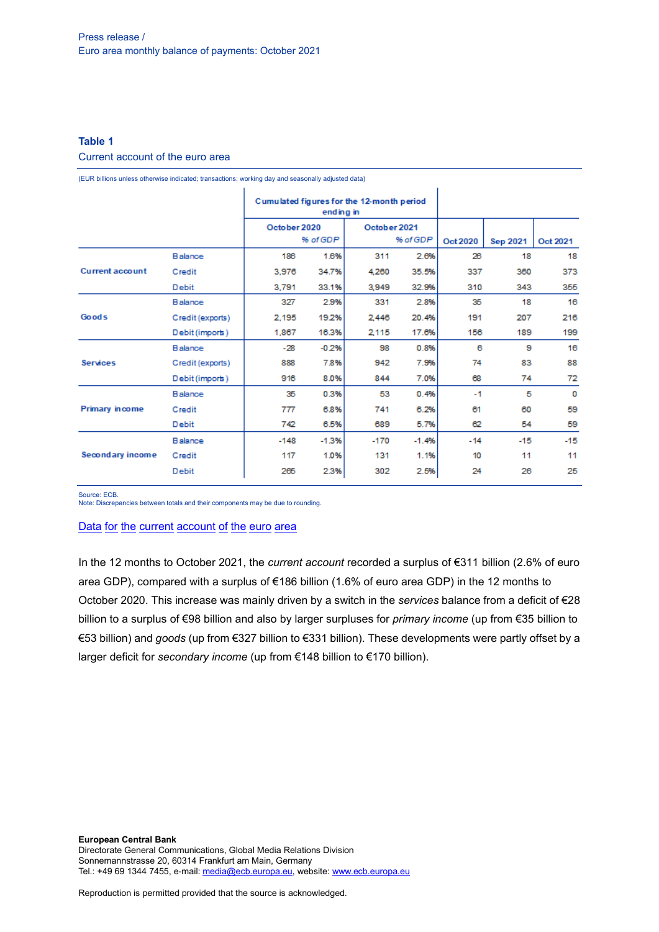## **Table 1** Current account of the euro area

(EUR billions unless otherwise indicated; transactions; working day and seasonally adjusted data)

|                                 |                  | Cumulated figures for the 12-month period<br>ending in |          |              |          |          |                 |          |
|---------------------------------|------------------|--------------------------------------------------------|----------|--------------|----------|----------|-----------------|----------|
|                                 |                  | October 2020                                           |          | October 2021 |          |          |                 |          |
|                                 |                  |                                                        | % of GDP |              | % of GDP | Oct 2020 | <b>Sep 2021</b> | Oct 2021 |
|                                 | Balance          | 186                                                    | 1.6%     | 311          | 2.6%     | 26       | 18              | 18       |
| <b>Current account</b><br>Goods | Credit           | 3,976                                                  | 34.7%    | 4.260        | 35.5%    | 337      | 360             | 373      |
|                                 | Debit            | 3.791                                                  | 33.1%    | 3.949        | 32.9%    | 310      | 343             | 355      |
|                                 | Balance          | 327                                                    | 2.9%     | 331          | 2.8%     | 35       | 18              | 16       |
|                                 | Credit (exports) | 2.195                                                  | 19.2%    | 2,446        | 20.4%    | 191      | 207             | 216      |
|                                 | Debit (imports)  | 1,867                                                  | 16.3%    | 2,115        | 17.6%    | 156      | 189             | 199      |
|                                 | Balance          | $-28$                                                  | $-0.2%$  | 98           | 0.8%     | 6        | 9               | 16       |
| <b>Services</b>                 | Credit (exports) | 888                                                    | 7.8%     | 942          | 7.9%     | 74       | 83              | 88       |
|                                 | Debit (imports)  | 916                                                    | 8.0%     | 844          | 7.0%     | 68       | 74              | 72       |
| <b>Primary income</b>           | Balance          | 35                                                     | 0.3%     | 53           | 0.4%     | $-1$     | 5               | 0        |
|                                 | Credit           | 777                                                    | 6.8%     | 741          | 6.2%     | 61       | 60              | 59       |
|                                 | Debit            | 742                                                    | 6.5%     | 689          | 5.7%     | 62       | 54              | 59       |
| Secondary income                | Balance          | $-148$                                                 | $-1.3%$  | $-170$       | $-1.4%$  | $-14$    | $-15$           | $-15$    |
|                                 | Credit           | 117                                                    | 1.0%     | 131          | 1.1%     | 10       | 11              | 11       |
|                                 | <b>Debit</b>     | 265                                                    | 2.3%     | 302          | 2.5%     | 24       | 26              | 25       |

Source: ECB.

Note: Discrepancies between totals and their components may be due to rounding.

## Data for the current [account](http://sdw.ecb.europa.eu/browseSelection.do?df=true&ec=&dc=&oc=&pb=&rc=&DATASET=0&removeItem=&removedItemList=&mergeFilter=&activeTab=&showHide=&FREQ.243=M&ADJUSTMENT.243=Y&REF_AREA.243=I8&ACCOUNTING_ENTRY.243=B&ACCOUNTING_ENTRY.243=C&ACCOUNTING_ENTRY.243=D&INT_ACC_ITEM.243=CA&INT_ACC_ITEM.243=G&INT_ACC_ITEM.243=IN1&INT_ACC_ITEM.243=IN2&INT_ACC_ITEM.243=S&node=9688874&legendRef=reference&legendNor=) of the euro area

In the 12 months to October 2021, the *current account* recorded a surplus of €311 billion (2.6% of euro area GDP), compared with a surplus of €186 billion (1.6% of euro area GDP) in the 12 months to October 2020. This increase was mainly driven by a switch in the *services* balance from a deficit of €28 billion to a surplus of €98 billion and also by larger surpluses for *primary income* (up from €35 billion to €53 billion) and *goods* (up from €327 billion to €331 billion). These developments were partly offset by a larger deficit for *secondary income* (up from €148 billion to €170 billion).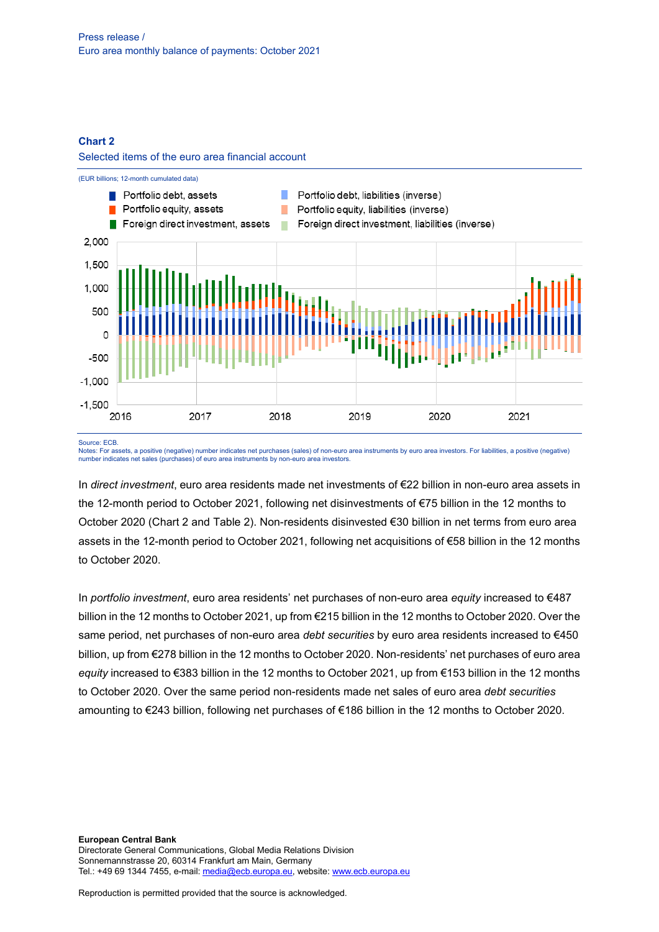#### **Chart 2**

Selected items of the euro area financial account



Source: ECB.

Notes: For assets, a positive (negative) number indicates net purchases (sales) of non-euro area instruments by euro area investors. For liabilities, a positive (negative) number indicates net sales (purchases) of euro area instruments by non-euro area investors.

In *direct investment*, euro area residents made net investments of €22 billion in non-euro area assets in the 12-month period to October 2021, following net disinvestments of €75 billion in the 12 months to October 2020 (Chart 2 and Table 2). Non-residents disinvested €30 billion in net terms from euro area assets in the 12-month period to October 2021, following net acquisitions of €58 billion in the 12 months to October 2020.

In *portfolio investment*, euro area residents' net purchases of non-euro area *equity* increased to €487 billion in the 12 months to October 2021, up from €215 billion in the 12 months to October 2020. Over the same period, net purchases of non-euro area *debt securities* by euro area residents increased to €450 billion, up from €278 billion in the 12 months to October 2020. Non-residents' net purchases of euro area *equity* increased to €383 billion in the 12 months to October 2021, up from €153 billion in the 12 months to October 2020. Over the same period non-residents made net sales of euro area *debt securities* amounting to €243 billion, following net purchases of €186 billion in the 12 months to October 2020.

**European Central Bank** Directorate General Communications, Global Media Relations Division Sonnemannstrasse 20, 60314 Frankfurt am Main, Germany Tel.: +49 69 1344 7455, e-mail[: media@ecb.europa.eu,](mailto:media@ecb.europa.eu) website[: www.ecb.europa.eu](http://www.ecb.europa.eu/)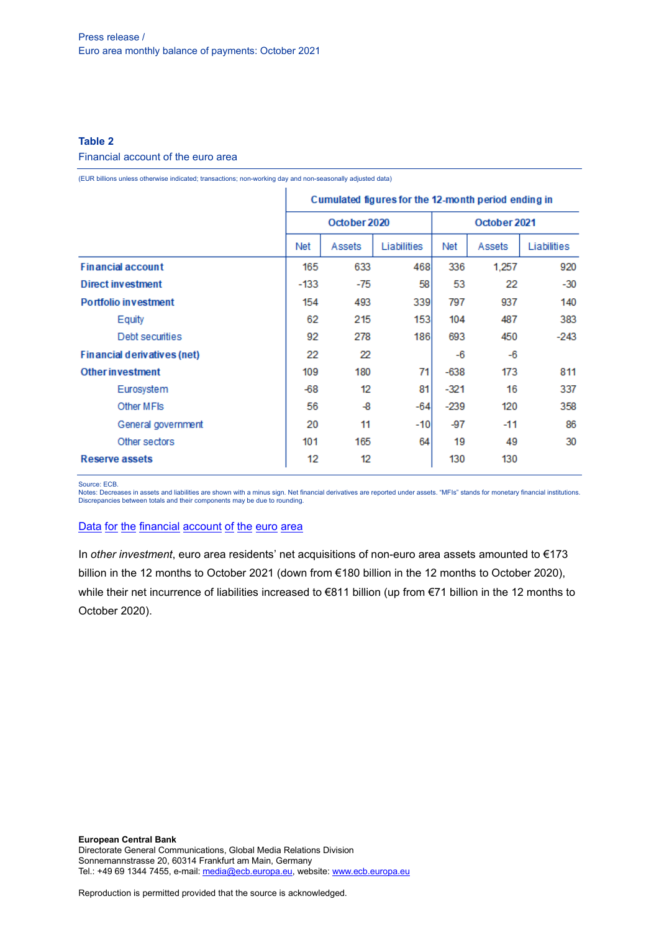## **Table 2**

#### Financial account of the euro area

(EUR billions unless otherwise indicated; transactions; non-working day and non-seasonally adjusted data)

|                             | Cumulated figures for the 12-month period ending in |        |             |              |        |             |
|-----------------------------|-----------------------------------------------------|--------|-------------|--------------|--------|-------------|
|                             | October 2020                                        |        |             | October 2021 |        |             |
|                             | Net                                                 | Assets | Liabilities | Net          | Assets | Liabilities |
| <b>Financial account</b>    | 165                                                 | 633    | 468         | 336          | 1,257  | 920         |
| <b>Direct investment</b>    | $-133$                                              | $-75$  | 58          | 53           | 22     | $-30$       |
| <b>Portfolio investment</b> |                                                     | 493    | 339         | 797          | 937    | 140         |
| Equity                      | 62                                                  | 215    | 153         | 104          | 487    | 383         |
| Debt securities             | 92                                                  | 278    | 186         | 693          | 450    | $-243$      |
| Financial derivatives (net) |                                                     | 22     |             | -6           | -6     |             |
| <b>Other in vestment</b>    |                                                     | 180    | 71          | -638         | 173    | 811         |
| Eurosystem                  | $-68$                                               | 12     | 81          | $-321$       | 16     | 337         |
| Other MFIs                  | 56                                                  | -8     | -641        | -239         | 120    | 358         |
| General government          | 20                                                  | 11     | -10         | -97          | $-11$  | 86          |
| Other sectors               | 101                                                 | 165    | 64          | 19           | 49     | 30          |
| Reserve assets              |                                                     | 12     |             | 130          | 130    |             |

Source: ECB.

Notes: Decreases in assets and liabilities are shown with a minus sign. Net financial derivatives are reported under assets. "MFIs" stands for monetary financial institutions. Discrepancies between totals and their components may be due to rounding.

## Data for the [financial](http://sdw.ecb.europa.eu/browseSelection.do?df=true&ec=&dc=&oc=&pb=&rc=&DATASET=0&removeItem=&removedItemList=&mergeFilter=&activeTab=&showHide=&FREQ.243=M&REF_AREA.243=I8&REF_SECTOR.243=S1&REF_SECTOR.243=S121&REF_SECTOR.243=S12T&REF_SECTOR.243=S13&REF_SECTOR.243=S1P&COUNTERPART_SECTOR.243=S1&FLOW_STOCK_ENTRY.243=T&ACCOUNTING_ENTRY.243=A&ACCOUNTING_ENTRY.243=L&ACCOUNTING_ENTRY.243=N&FUNCTIONAL_CAT.243=D&FUNCTIONAL_CAT.243=O&FUNCTIONAL_CAT.243=P&FUNCTIONAL_CAT.243=R&INSTR_ASSET.243=F&INSTR_ASSET.243=F3&INSTR_ASSET.243=F5&INSTR_ASSET.243=FL&MATURITY.243=T&MATURITY.243=_Z&node=9688874&legendRef=reference&legendNor=) account of the euro area

In *other investment*, euro area residents' net acquisitions of non-euro area assets amounted to €173 billion in the 12 months to October 2021 (down from €180 billion in the 12 months to October 2020), while their net incurrence of liabilities increased to €811 billion (up from €71 billion in the 12 months to October 2020).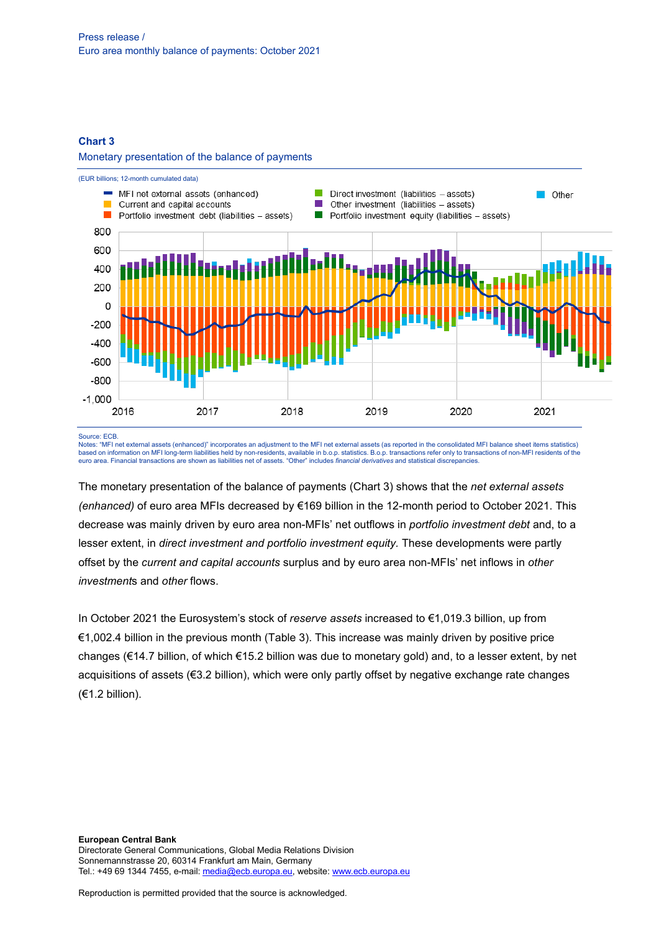#### **Chart 3**

#### Monetary presentation of the balance of payments



#### Source: ECB.

Notes: "MFI net external assets (enhanced)" incorporates an adjustment to the MFI net external assets (as reported in the consolidated MFI balance sheet items statistics) based on information on MFI long-term liabilities held by non-residents, available in b.o.p. statistics. B.o.p. transactions refer only to transactions of non-MFI residents of the euro area. Financial transactions are shown as liabilities net of assets. "Other" includes *financial derivatives* and statistical discrepancies.

The monetary presentation of the balance of payments (Chart 3) shows that the *net external assets (enhanced)* of euro area MFIs decreased by €169 billion in the 12-month period to October 2021. This decrease was mainly driven by euro area non-MFIs' net outflows in *portfolio investment debt* and, to a lesser extent, in *direct investment and portfolio investment equity.* These developments were partly offset by the *current and capital accounts* surplus and by euro area non-MFIs' net inflows in *other investment*s and *other* flows.

In October 2021 the Eurosystem's stock of *reserve assets* increased to €1,019.3 billion, up from €1,002.4 billion in the previous month (Table 3). This increase was mainly driven by positive price changes (€14.7 billion, of which €15.2 billion was due to monetary gold) and, to a lesser extent, by net acquisitions of assets (€3.2 billion), which were only partly offset by negative exchange rate changes (€1.2 billion).

**European Central Bank** Directorate General Communications, Global Media Relations Division Sonnemannstrasse 20, 60314 Frankfurt am Main, Germany Tel.: +49 69 1344 7455, e-mail[: media@ecb.europa.eu,](mailto:media@ecb.europa.eu) website[: www.ecb.europa.eu](http://www.ecb.europa.eu/)